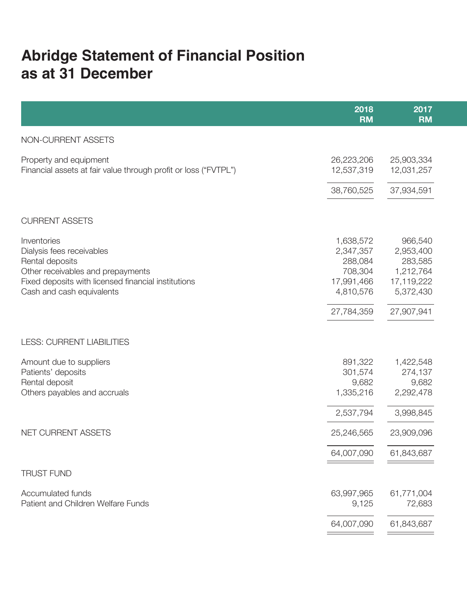# **Abridge Statement of Financial Position as at 31 December**

|                                                                                                                                                                                      | 2018<br><b>RM</b>                                                       | 2017<br><b>RM</b>                                                       |
|--------------------------------------------------------------------------------------------------------------------------------------------------------------------------------------|-------------------------------------------------------------------------|-------------------------------------------------------------------------|
| NON-CURRENT ASSETS                                                                                                                                                                   |                                                                         |                                                                         |
| Property and equipment<br>Financial assets at fair value through profit or loss ("FVTPL")                                                                                            | 26,223,206<br>12,537,319                                                | 25,903,334<br>12,031,257                                                |
|                                                                                                                                                                                      | 38,760,525                                                              | 37,934,591                                                              |
| <b>CURRENT ASSETS</b>                                                                                                                                                                |                                                                         |                                                                         |
| Inventories<br>Dialysis fees receivables<br>Rental deposits<br>Other receivables and prepayments<br>Fixed deposits with licensed financial institutions<br>Cash and cash equivalents | 1,638,572<br>2,347,357<br>288,084<br>708,304<br>17,991,466<br>4,810,576 | 966,540<br>2,953,400<br>283,585<br>1,212,764<br>17,119,222<br>5,372,430 |
|                                                                                                                                                                                      | 27,784,359                                                              | 27,907,941                                                              |
| <b>LESS: CURRENT LIABILITIES</b>                                                                                                                                                     |                                                                         |                                                                         |
| Amount due to suppliers<br>Patients' deposits<br>Rental deposit<br>Others payables and accruals                                                                                      | 891,322<br>301,574<br>9,682<br>1,335,216                                | 1,422,548<br>274,137<br>9,682<br>2,292,478                              |
|                                                                                                                                                                                      | 2,537,794                                                               | 3,998,845                                                               |
| NET CURRENT ASSETS                                                                                                                                                                   | 25,246,565                                                              | 23,909,096                                                              |
|                                                                                                                                                                                      | 64,007,090                                                              | 61,843,687                                                              |
| <b>TRUST FUND</b>                                                                                                                                                                    |                                                                         |                                                                         |
| Accumulated funds<br>Patient and Children Welfare Funds                                                                                                                              | 63,997,965<br>9,125                                                     | 61,771,004<br>72,683                                                    |
|                                                                                                                                                                                      | 64,007,090                                                              | 61,843,687                                                              |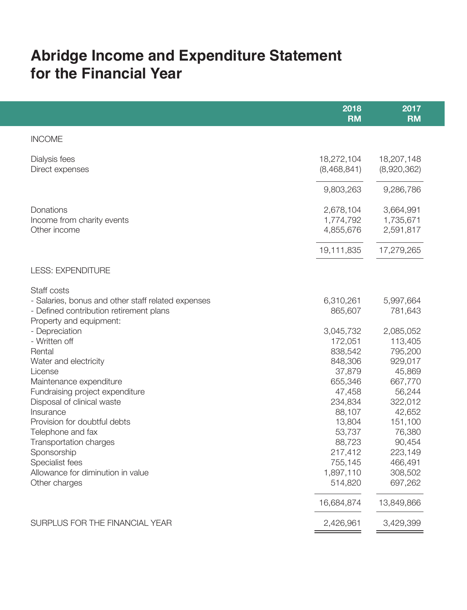## **Abridge Income and Expenditure Statement for the Financial Year**

|                                                                                                                                         | 2018<br><b>RM</b>                          | 2017<br><b>RM</b>                          |
|-----------------------------------------------------------------------------------------------------------------------------------------|--------------------------------------------|--------------------------------------------|
| <b>INCOME</b>                                                                                                                           |                                            |                                            |
| Dialysis fees<br>Direct expenses                                                                                                        | 18,272,104<br>(8,468,841)                  | 18,207,148<br>(8,920,362)                  |
|                                                                                                                                         | 9,803,263                                  | 9,286,786                                  |
| Donations<br>Income from charity events<br>Other income                                                                                 | 2,678,104<br>1,774,792<br>4,855,676        | 3,664,991<br>1,735,671<br>2,591,817        |
|                                                                                                                                         | 19,111,835                                 | 17,279,265                                 |
| <b>LESS: EXPENDITURE</b>                                                                                                                |                                            |                                            |
| Staff costs<br>- Salaries, bonus and other staff related expenses<br>- Defined contribution retirement plans<br>Property and equipment: | 6,310,261<br>865,607                       | 5,997,664<br>781,643                       |
| - Depreciation<br>- Written off<br>Rental<br>Water and electricity                                                                      | 3,045,732<br>172,051<br>838,542<br>848,306 | 2,085,052<br>113,405<br>795,200<br>929,017 |
| License<br>Maintenance expenditure<br>Fundraising project expenditure                                                                   | 37,879<br>655,346<br>47,458                | 45,869<br>667,770<br>56,244                |
| Disposal of clinical waste<br>Insurance<br>Provision for doubtful debts<br>Telephone and fax                                            | 234,834<br>88,107<br>13,804<br>53,737      | 322,012<br>42,652<br>151,100<br>76,380     |
| Transportation charges<br>Sponsorship<br>Specialist fees                                                                                | 88,723<br>217,412<br>755,145               | 90,454<br>223,149<br>466,491               |
| Allowance for diminution in value<br>Other charges                                                                                      | 1,897,110<br>514,820                       | 308,502<br>697,262                         |
|                                                                                                                                         | 16,684,874                                 | 13,849,866                                 |
| SURPLUS FOR THE FINANCIAL YEAR                                                                                                          | 2,426,961                                  | 3,429,399                                  |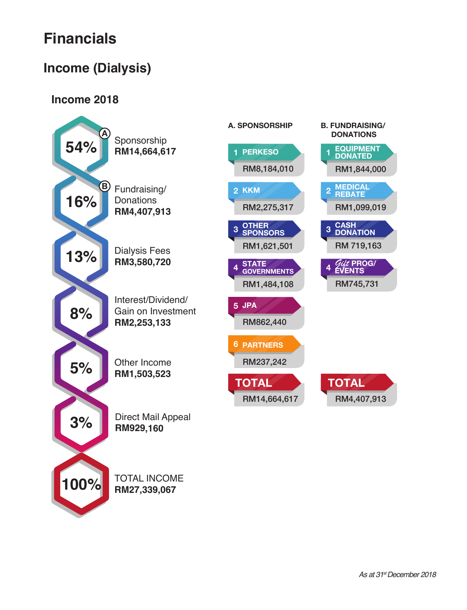# **Financials**

#### **Income (Dialysis)**

#### **Income 2018**



**RM27,339,067**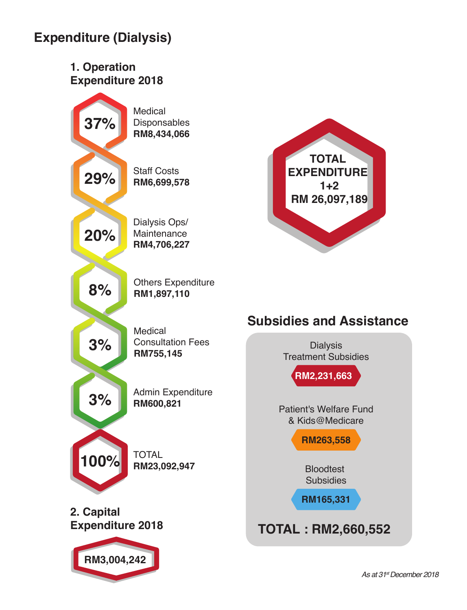### **Expenditure (Dialysis)**



*As at 31st December 2018*